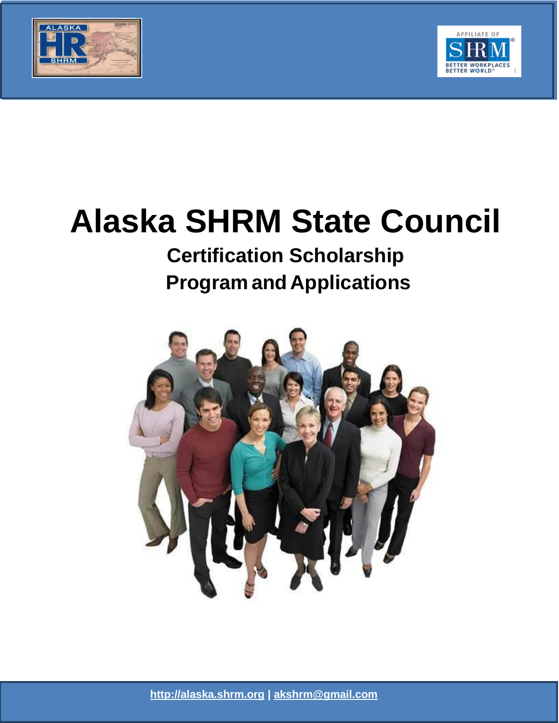



# **Alaska SHRM State Council**

ALASKA SHRM STATE COUNCIL

# **Certification Scholarship Program and Applications**



**[http://alaska.shrm.org |](http://alaska.shrm.org/) [akshrm@gmail.com](mailto:akshrm@gmail.com)**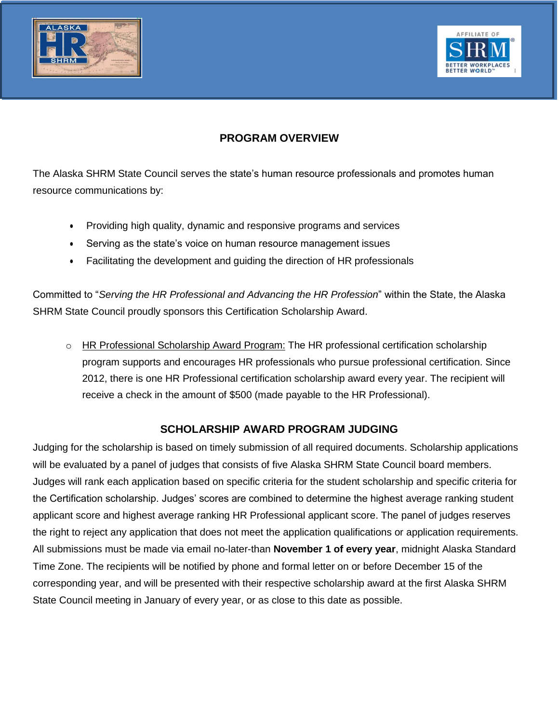



# **PROGRAM OVERVIEW**

The Alaska SHRM State Council serves the state's human resource professionals and promotes human resource communications by:

ALASKA SHRM STATE COUNCIL

- Providing high quality, dynamic and responsive programs and services
- Serving as the state's voice on human resource management issues
- Facilitating the development and guiding the direction of HR professionals

Committed to "*Serving the HR Professional and Advancing the HR Profession*" within the State, the Alaska SHRM State Council proudly sponsors this Certification Scholarship Award.

o HR Professional Scholarship Award Program: The HR professional certification scholarship program supports and encourages HR professionals who pursue professional certification. Since 2012, there is one HR Professional certification scholarship award every year. The recipient will receive a check in the amount of \$500 (made payable to the HR Professional).

# **SCHOLARSHIP AWARD PROGRAM JUDGING**

Judging for the scholarship is based on timely submission of all required documents. Scholarship applications will be evaluated by a panel of judges that consists of five Alaska SHRM State Council board members. Judges will rank each application based on specific criteria for the student scholarship and specific criteria for the Certification scholarship. Judges' scores are combined to determine the highest average ranking student applicant score and highest average ranking HR Professional applicant score. The panel of judges reserves the right to reject any application that does not meet the application qualifications or application requirements. All submissions must be made via email no-later-than **November 1 of every year**, midnight Alaska Standard Time Zone. The recipients will be notified by phone and formal letter on or before December 15 of the corresponding year, and will be presented with their respective scholarship award at the first Alaska SHRM State Council meeting in January of every year, or as close to this date as possible.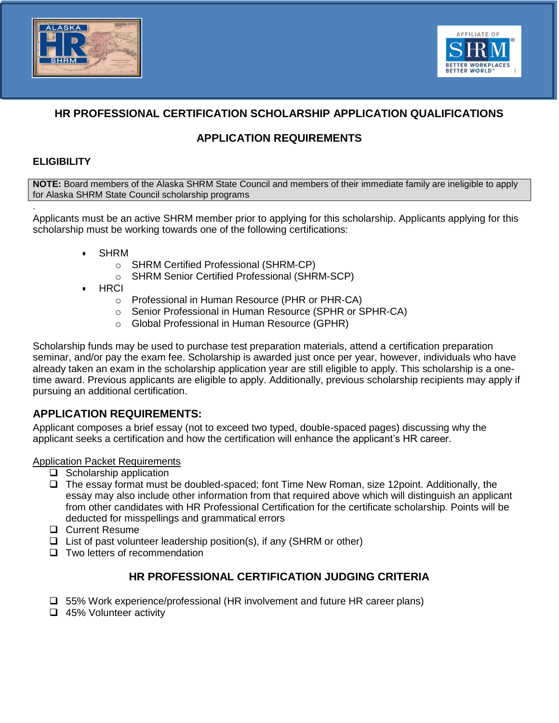



# **HR PROFESSIONAL CERTIFICATION SCHOLARSHIP APPLICATION QUALIFICATIONS**

ALASKA SHRM STATE COUNCIL

# **APPLICATION REQUIREMENTS**

#### **ELIGIBILITY**

.

**NOTE:** Board members of the Alaska SHRM State Council and members of their immediate family are ineligible to apply for Alaska SHRM State Council scholarship programs

Applicants must be an active SHRM member prior to applying for this scholarship. Applicants applying for this scholarship must be working towards one of the following certifications:

- SHRM
	- o SHRM Certified Professional (SHRM-CP)
	- o SHRM Senior Certified Professional (SHRM-SCP)
- HRCI
	- o Professional in Human Resource (PHR or PHR-CA)
	- o Senior Professional in Human Resource (SPHR or SPHR-CA)
	- o Global Professional in Human Resource (GPHR)

Scholarship funds may be used to purchase test preparation materials, attend a certification preparation seminar, and/or pay the exam fee. Scholarship is awarded just once per year, however, individuals who have already taken an exam in the scholarship application year are still eligible to apply. This scholarship is a onetime award. Previous applicants are eligible to apply. Additionally, previous scholarship recipients may apply if pursuing an additional certification.

# **APPLICATION REQUIREMENTS:**

Applicant composes a brief essay (not to exceed two typed, double-spaced pages) discussing why the applicant seeks a certification and how the certification will enhance the applicant's HR career.

#### **Application Packet Requirements**

- $\Box$  Scholarship application
- The essay format must be doubled-spaced; font Time New Roman, size 12point. Additionally, the essay may also include other information from that required above which will distinguish an applicant from other candidates with HR Professional Certification for the certificate scholarship. Points will be deducted for misspellings and grammatical errors
- **Q** Current Resume
- $\Box$  List of past volunteer leadership position(s), if any (SHRM or other)
- $\Box$  Two letters of recommendation

# **HR PROFESSIONAL CERTIFICATION JUDGING CRITERIA**

- 55% Work experience/professional (HR involvement and future HR career plans)
- □ 45% Volunteer activity